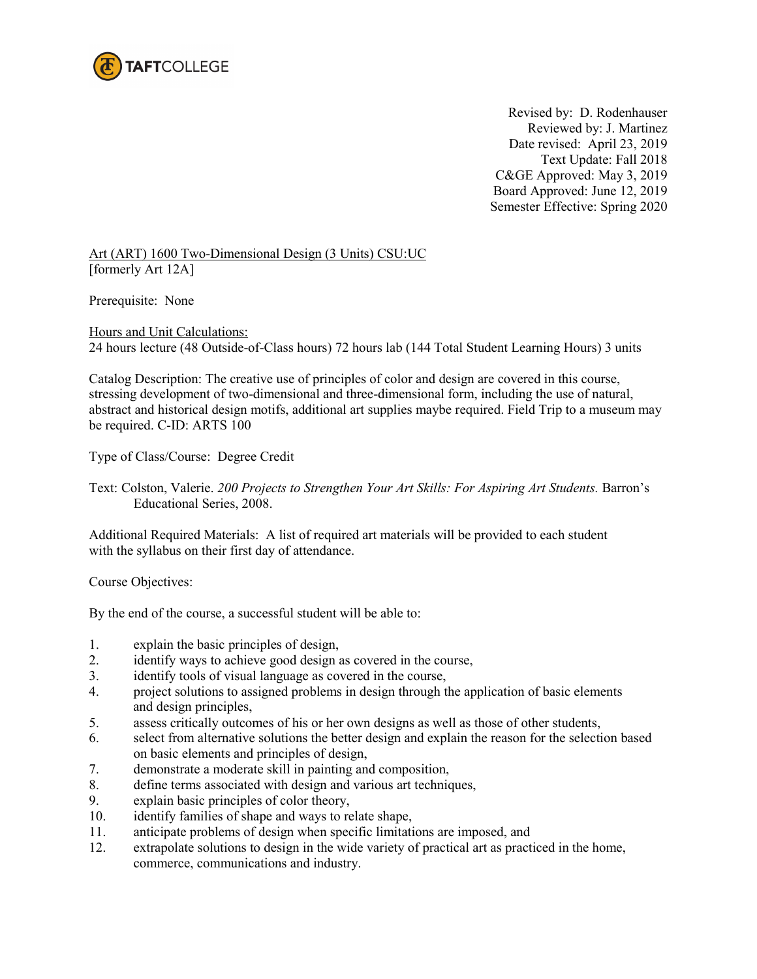

 Revised by: D. Rodenhauser Reviewed by: J. Martinez Date revised: April 23, 2019 Text Update: Fall 2018 C&GE Approved: May 3, 2019 Board Approved: June 12, 2019 Semester Effective: Spring 2020

Art (ART) 1600 Two-Dimensional Design (3 Units) CSU:UC [formerly Art 12A]

Prerequisite: None

Hours and Unit Calculations: 24 hours lecture (48 Outside-of-Class hours) 72 hours lab (144 Total Student Learning Hours) 3 units

Catalog Description: The creative use of principles of color and design are covered in this course, stressing development of two-dimensional and three-dimensional form, including the use of natural, abstract and historical design motifs, additional art supplies maybe required. Field Trip to a museum may be required. C-ID: ARTS 100

Type of Class/Course: Degree Credit

Text: Colston, Valerie. *200 Projects to Strengthen Your Art Skills: For Aspiring Art Students.* Barron's Educational Series, 2008.

Additional Required Materials: A list of required art materials will be provided to each student with the syllabus on their first day of attendance.

Course Objectives:

By the end of the course, a successful student will be able to:

- 1. explain the basic principles of design,
- 2. identify ways to achieve good design as covered in the course,
- 3. identify tools of visual language as covered in the course,
- 4. project solutions to assigned problems in design through the application of basic elements and design principles,
- 5. assess critically outcomes of his or her own designs as well as those of other students,
- 6. select from alternative solutions the better design and explain the reason for the selection based on basic elements and principles of design,
- 7. demonstrate a moderate skill in painting and composition,
- 8. define terms associated with design and various art techniques,
- 9. explain basic principles of color theory,<br>10. identify families of shane and ways to re
- identify families of shape and ways to relate shape,
- 11. anticipate problems of design when specific limitations are imposed, and
- 12. extrapolate solutions to design in the wide variety of practical art as practiced in the home, commerce, communications and industry.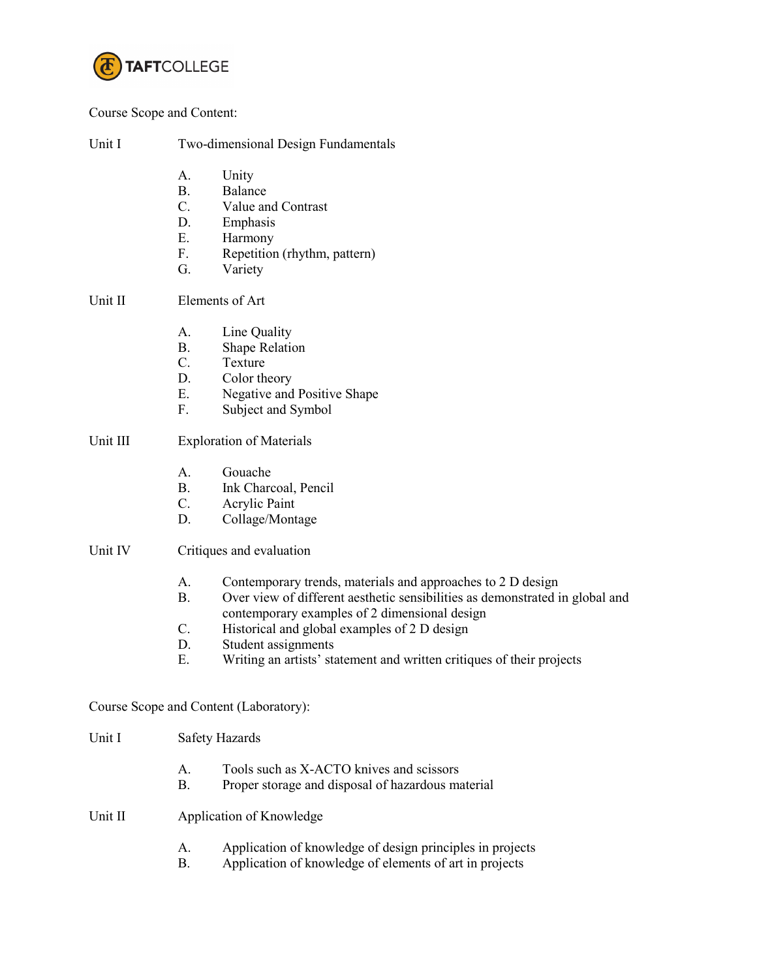

#### Course Scope and Content:

| Unit I<br>Two-dimensional Design Fundamentals |
|-----------------------------------------------|
|-----------------------------------------------|

- A. Unity
- B. Balance
- C. Value and Contrast
- D. Emphasis<br>E. Harmony
- **Harmony**
- F. Repetition (rhythm, pattern)
- G. Variety

## Unit II Elements of Art

- A. Line Quality
- B. Shape Relation
- C. Texture
- D. Color theory
- E. Negative and Positive Shape
- F. Subject and Symbol

### Unit III Exploration of Materials

- A. Gouache
- B. Ink Charcoal, Pencil
- C. Acrylic Paint
- D. Collage/Montage

#### Unit IV Critiques and evaluation

- A. Contemporary trends, materials and approaches to 2 D design
- B. Over view of different aesthetic sensibilities as demonstrated in global and contemporary examples of 2 dimensional design
- C. Historical and global examples of 2 D design
- D. Student assignments
- E. Writing an artists' statement and written critiques of their projects

## Course Scope and Content (Laboratory):

- Unit I Safety Hazards
	- A. Tools such as X-ACTO knives and scissors
	- B. Proper storage and disposal of hazardous material

## Unit II Application of Knowledge

- A. Application of knowledge of design principles in projects
- B. Application of knowledge of elements of art in projects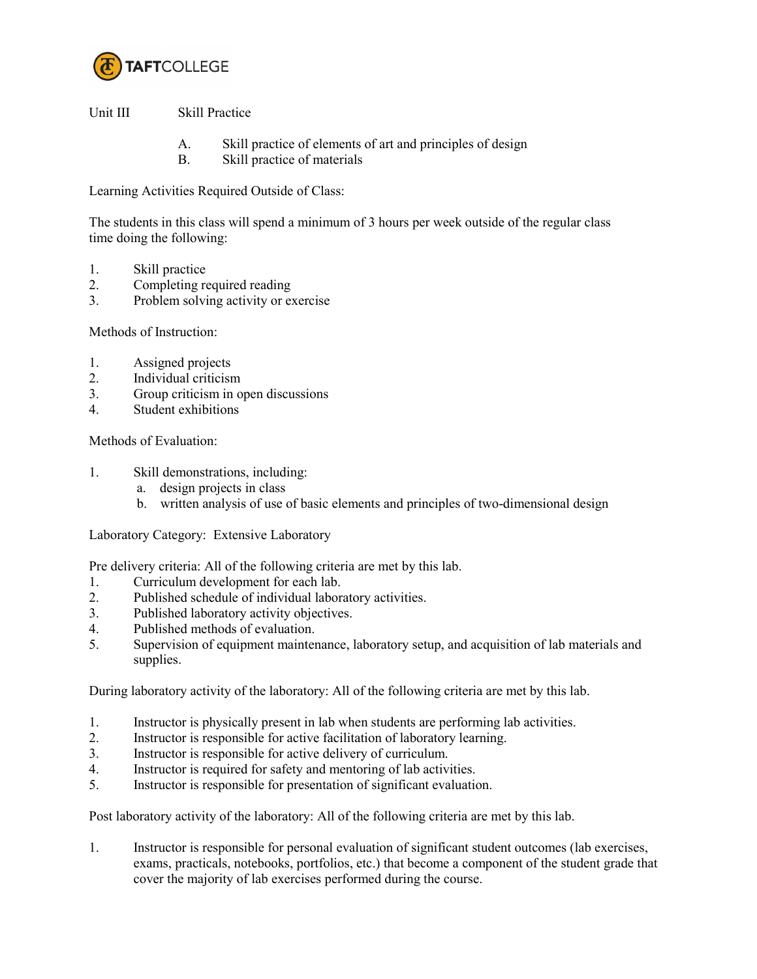

Unit III Skill Practice

- A. Skill practice of elements of art and principles of design
- B. Skill practice of materials

Learning Activities Required Outside of Class:

The students in this class will spend a minimum of 3 hours per week outside of the regular class time doing the following:

- 1. Skill practice
- 2. Completing required reading
- 3. Problem solving activity or exercise

Methods of Instruction:

- 1. Assigned projects
- 2. Individual criticism
- 3. Group criticism in open discussions
- 4. Student exhibitions

Methods of Evaluation:

- 1. Skill demonstrations, including:
	- a. design projects in class
	- b. written analysis of use of basic elements and principles of two-dimensional design

Laboratory Category: Extensive Laboratory

Pre delivery criteria: All of the following criteria are met by this lab.<br>1 Curriculum development for each lab.

- Curriculum development for each lab.
- 2. Published schedule of individual laboratory activities.
- 3. Published laboratory activity objectives.
- 4. Published methods of evaluation.
- 5. Supervision of equipment maintenance, laboratory setup, and acquisition of lab materials and supplies.

During laboratory activity of the laboratory: All of the following criteria are met by this lab.

- 1. Instructor is physically present in lab when students are performing lab activities.
- 2. Instructor is responsible for active facilitation of laboratory learning.
- 3. Instructor is responsible for active delivery of curriculum.
- 4. Instructor is required for safety and mentoring of lab activities.
- 5. Instructor is responsible for presentation of significant evaluation.

Post laboratory activity of the laboratory: All of the following criteria are met by this lab.

1. Instructor is responsible for personal evaluation of significant student outcomes (lab exercises, exams, practicals, notebooks, portfolios, etc.) that become a component of the student grade that cover the majority of lab exercises performed during the course.